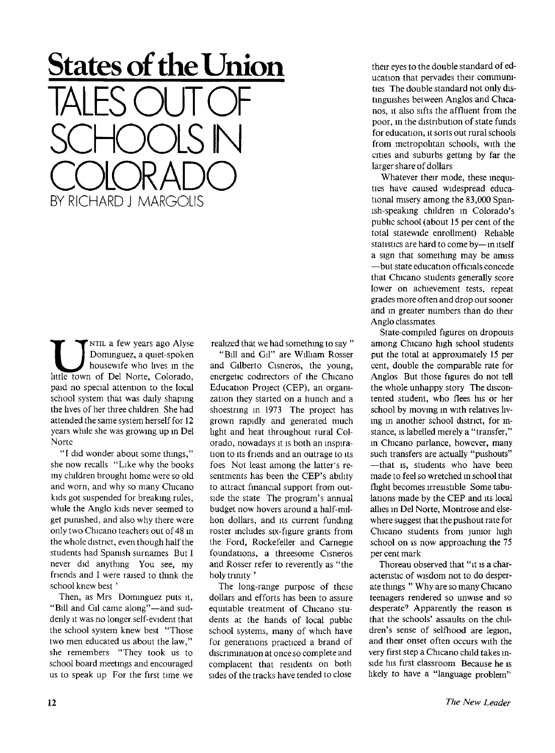**States of the Union**  TALES OUT OF SCHOOLS IN COLORADO BY RICHARD J MARGOLIS

**UP**<br>
NTIL a few years ago Alyse<br>
Dominguez, a quiet-spoken<br>
housewife who lives in the<br>
little town of Del Norte, Colorado, NTIL a few years ago Alyse Dominguez, a quiet-spoken housewife who lives in the paid no special attention to the local school system that was daily shaping the lives of her three children She had attended the same system herself for 12 years while she was growing up in Del Norte

"I did wonder about some things," she now recalls "Like why the books my children brought home were so old and worn, and why so many Chicano kids got suspended for breaking rules, while the Anglo kids never seemed to get punished, and also why there were only two Chicano teachers out of 48 in the whole district, even though half the students had Spanish surnames But I never did anything You see, my friends and I were raised to think the school knew best '

Then, as Mrs Dominguez puts it, "Bill and Gil came along"-and suddenly it was no longer self-evident that the school system knew best "Those two men educated us about the law," she remembers "They took us to school board meetings and encouraged us to speak up For the first time we realized that we had something to say "

"Bill and Gil" are William Rosser and Gilberto Cisneros, the young, energetic codirectors of the Chicano Education Project (CEP), an organization they started on a hunch and a shoestring in 1973 The project has grown rapidly and generated much light and heat throughout rural Colorado, nowadays it is both an inspiration to its friends and an outrage to its foes Not least among the latter's resentments has been the CEP's ability to attract financial support from outside the state The program's annual budget now hovers around a half-milhon dollars, and its current funding roster includes six-figure grants from the Ford, Rockefeller and Carnegie foundations, a threesome Cisneros and Rosser refer to reverently as "the holy trinity'

The long-range purpose of these dollars and efforts has been to assure equitable treatment of Chicano students at the hands of local public school systems, many of which have for generations practiced a brand of discrimination at once so complete and complacent that residents on both sides of the tracks have tended to close their eyes to the double standard of education that pervades their communities The double standard not only distinguishes between Anglos and Chicanos, it also sifts the affluent from the poor, in the distribution of state funds for education, it sorts out rural schools from metropolitan schools, with the cities and suburbs getting by far the larger share of dollars

Whatever their mode, these inequities have caused widespread educational misery among the 83,000 Spanish-speaking children in Colorado's public school (about 15 per cent of the total statewide enrollment) Reliable statistics are hard to come by—in itself a sign that something may be amiss —but state education officials concede that Chicano students generally score lower on achievement tests, repeat grades more often and drop out sooner and in greater numbers than do their Anglo classmates

State-compiled figures on dropouts among Chicano high school students put the total at approximately 15 per cent, double the comparable rate for Anglos But those figures do not tell the whole unhappy story The discontented student, who flees his or her school by moving in with relatives living in another school district, for instance, is labelled merely a "transfer," in Chicano parlance, however, many such transfers are actually "pushouts" —that is, students who have been made to feel so wretched in school that flight becomes irresistible Some tabulations made by the CEP and its local allies in Del Norte, Montrose and elsewhere suggest that the pushout rate for Chicano students from junior high school on is now approaching the 75 per cent mark

Thoreau observed that "it is a characteristic of wisdom not to do desperate things " Why are so many Chicano teenagers rendered so unwise and so desperate<sup>7</sup> Apparently the reason is that the schools' assaults on the children's sense of selfhood are legion. and their onset often occurs with the very first step a Chicano child takes inside his first classroom Because he is likely to have a "language problem"